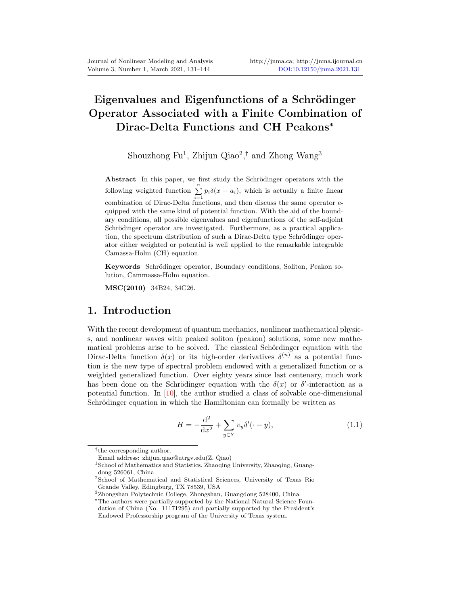# Eigenvalues and Eigenfunctions of a Schrödinger Operator Associated with a Finite Combination of Dirac-Delta Functions and CH Peakons<sup>∗</sup>

Shouzhong Fu<sup>1</sup>, Zhijun Qiao<sup>2</sup>,<sup>†</sup> and Zhong Wang<sup>3</sup>

Abstract In this paper, we first study the Schrödinger operators with the following weighted function  $\sum_{i=1}^{n} p_i \delta(x - a_i)$ , which is actually a finite linear  $i=1$ <br>combination of Dirac-Delta functions, and then discuss the same operator equipped with the same kind of potential function. With the aid of the boundary conditions, all possible eigenvalues and eigenfunctions of the self-adjoint Schrödinger operator are investigated. Furthermore, as a practical application, the spectrum distribution of such a Dirac-Delta type Schrödinger operator either weighted or potential is well applied to the remarkable integrable Camassa-Holm (CH) equation.

Keywords Schrödinger operator, Boundary conditions, Soliton, Peakon solution, Cammassa-Holm equation.

MSC(2010) 34B24, 34C26.

#### 1. Introduction

With the recent development of quantum mechanics, nonlinear mathematical physics, and nonlinear waves with peaked soliton (peakon) solutions, some new mathematical problems arise to be solved. The classical Schördinger equation with the Dirac-Delta function  $\delta(x)$  or its high-order derivatives  $\delta^{(n)}$  as a potential function is the new type of spectral problem endowed with a generalized function or a weighted generalized function. Over eighty years since last centenary, much work has been done on the Schrödinger equation with the  $\delta(x)$  or  $\delta'$ -interaction as a potential function. In  $[10]$ , the author studied a class of solvable one-dimensional Schrödinger equation in which the Hamiltonian can formally be written as

<span id="page-0-0"></span>
$$
H = -\frac{d^2}{dx^2} + \sum_{y \in Y} v_y \delta'(\cdot - y),
$$
\n(1.1)

<sup>†</sup> the corresponding author.

Email address: zhijun.qiao@utrgv.edu(Z. Qiao)

<sup>1</sup>School of Mathematics and Statistics, Zhaoqing University, Zhaoqing, Guangdong 526061, China

<sup>2</sup>School of Mathematical and Statistical Sciences, University of Texas Rio Grande Valley, Edingburg, TX 78539, USA

 $^3{\rm Zhongshan}$  Polytechnic College, Zhongshan, Guangdong 528400, China

<sup>∗</sup>The authors were partially supported by the National Natural Science Foundation of China (No. 11171295) and partially supported by the President's Endowed Professorship program of the University of Texas system.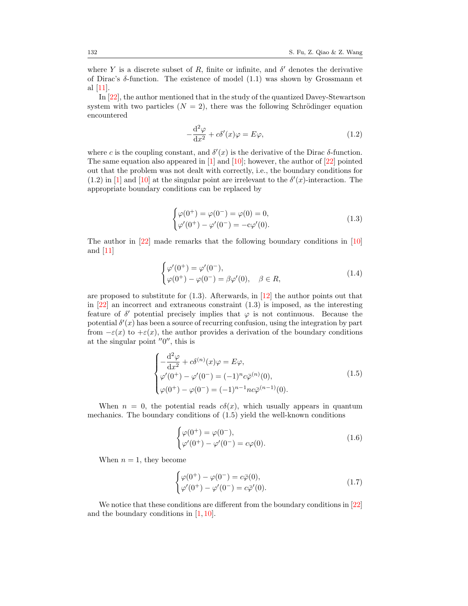where Y is a discrete subset of R, finite or infinite, and  $\delta'$  denotes the derivative of Dirac's δ-function. The existence of model [\(1.1\)](#page-0-0) was shown by Grossmann et al [\[11\]](#page-13-1).

In [\[22\]](#page-13-2), the author mentioned that in the study of the quantized Davey-Stewartson system with two particles  $(N = 2)$ , there was the following Schrödinger equation encountered

<span id="page-1-0"></span>
$$
-\frac{\mathrm{d}^2\varphi}{\mathrm{d}x^2} + c\delta'(x)\varphi = E\varphi,
$$
\n(1.2)

where c is the coupling constant, and  $\delta'(x)$  is the derivative of the Dirac  $\delta$ -function. The same equation also appeared in  $[1]$  and  $[10]$ ; however, the author of  $[22]$  pointed out that the problem was not dealt with correctly, i.e., the boundary conditions for [\(1.2\)](#page-1-0) in [\[1\]](#page-12-1) and [\[10\]](#page-13-0) at the singular point are irrelevant to the  $\delta'(x)$ -interaction. The appropriate boundary conditions can be replaced by

<span id="page-1-3"></span><span id="page-1-1"></span>
$$
\begin{cases}\n\varphi(0^+) = \varphi(0^-) = \varphi(0) = 0, \\
\varphi'(0^+) - \varphi'(0^-) = -c\varphi'(0).\n\end{cases}
$$
\n(1.3)

The author in [\[22\]](#page-13-2) made remarks that the following boundary conditions in [\[10\]](#page-13-0) and [\[11\]](#page-13-1)

$$
\begin{cases}\n\varphi'(0^+) = \varphi'(0^-), \\
\varphi(0^+) - \varphi(0^-) = \beta \varphi'(0), \quad \beta \in R,\n\end{cases}
$$
\n(1.4)

are proposed to substitute for [\(1.3\)](#page-1-1). Afterwards, in [\[12\]](#page-13-3) the author points out that in  $[22]$  an incorrect and extraneous constraint  $(1.3)$  is imposed, as the interesting feature of  $\delta'$  potential precisely implies that  $\varphi$  is not continuous. Because the potential  $\delta'(x)$  has been a source of recurring confusion, using the integration by part from  $-\varepsilon(x)$  to  $+\varepsilon(x)$ , the author provides a derivation of the boundary conditions at the singular point  $\prime\prime$ <sup>0''</sup>, this is

$$
\begin{cases}\n-\frac{\mathrm{d}^2 \varphi}{\mathrm{d}x^2} + c \delta^{(n)}(x) \varphi = E \varphi, \\
\varphi'(0^+) - \varphi'(0^-) = (-1)^n c \bar{\varphi}^{(n)}(0), \\
\varphi(0^+) - \varphi(0^-) = (-1)^{n-1} n c \bar{\varphi}^{(n-1)}(0).\n\end{cases} (1.5)
$$

When  $n = 0$ , the potential reads  $c\delta(x)$ , which usually appears in quantum mechanics. The boundary conditions of [\(1.5\)](#page-1-2) yield the well-known conditions

<span id="page-1-2"></span>
$$
\begin{cases}\n\varphi(0^+) = \varphi(0^-), \\
\varphi'(0^+) - \varphi'(0^-) = c\varphi(0).\n\end{cases}
$$
\n(1.6)

When  $n = 1$ , they become

<span id="page-1-4"></span>
$$
\begin{cases}\n\varphi(0^+) - \varphi(0^-) = c\bar{\varphi}(0), \\
\varphi'(0^+) - \varphi'(0^-) = c\bar{\varphi}'(0).\n\end{cases}
$$
\n(1.7)

We notice that these conditions are different from the boundary conditions in [\[22\]](#page-13-2) and the boundary conditions in  $[1, 10]$  $[1, 10]$  $[1, 10]$ .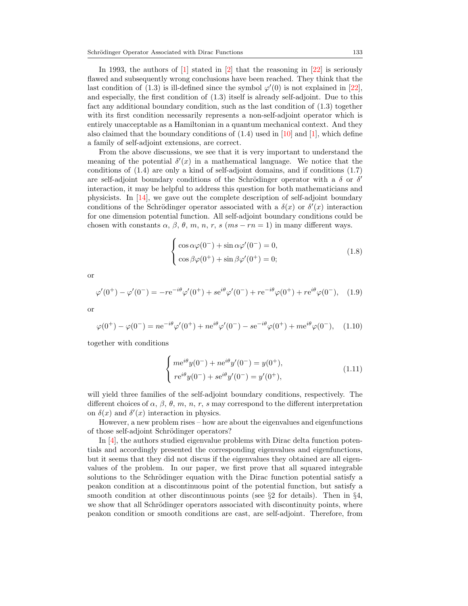In 1993, the authors of  $\vert 1 \vert$  stated in  $\vert 2 \vert$  that the reasoning in  $\vert 2 \vert$  is seriously flawed and subsequently wrong conclusions have been reached. They think that the last condition of [\(1.3\)](#page-1-1) is ill-defined since the symbol  $\varphi'(0)$  is not explained in [\[22\]](#page-13-2), and especially, the first condition of [\(1.3\)](#page-1-1) itself is already self-adjoint. Due to this fact any additional boundary condition, such as the last condition of [\(1.3\)](#page-1-1) together with its first condition necessarily represents a non-self-adjoint operator which is entirely unacceptable as a Hamiltonian in a quantum mechanical context. And they also claimed that the boundary conditions of  $(1.4)$  used in [\[10\]](#page-13-0) and [\[1\]](#page-12-1), which define a family of self-adjoint extensions, are correct.

From the above discussions, we see that it is very important to understand the meaning of the potential  $\delta'(x)$  in a mathematical language. We notice that the conditions of [\(1.4\)](#page-1-3) are only a kind of self-adjoint domains, and if conditions [\(1.7\)](#page-1-4) are self-adjoint boundary conditions of the Schrödinger operator with a  $\delta$  or  $\delta'$ interaction, it may be helpful to address this question for both mathematicians and physicists. In [\[14\]](#page-13-4), we gave out the complete description of self-adjoint boundary conditions of the Schrödinger operator associated with a  $\delta(x)$  or  $\delta'(x)$  interaction for one dimension potential function. All self-adjoint boundary conditions could be chosen with constants  $\alpha$ ,  $\beta$ ,  $\theta$ ,  $m$ ,  $n$ ,  $r$ ,  $s$  ( $ms - rn = 1$ ) in many different ways.

$$
\begin{cases}\n\cos \alpha \varphi(0^-) + \sin \alpha \varphi'(0^-) = 0, \\
\cos \beta \varphi(0^+) + \sin \beta \varphi'(0^+) = 0;\n\end{cases}
$$
\n(1.8)

or

$$
\varphi'(0^+) - \varphi'(0^-) = -re^{-i\theta}\varphi'(0^+) + se^{i\theta}\varphi'(0^-) + re^{-i\theta}\varphi(0^+) + re^{i\theta}\varphi(0^-), \quad (1.9)
$$

or

$$
\varphi(0^+) - \varphi(0^-) = n e^{-i\theta} \varphi'(0^+) + n e^{i\theta} \varphi'(0^-) - s e^{-i\theta} \varphi(0^+) + m e^{i\theta} \varphi(0^-), \quad (1.10)
$$

together with conditions

$$
\begin{cases} me^{i\theta}y(0^-) + ne^{i\theta}y'(0^-) = y(0^+), \\ re^{i\theta}y(0^-) + se^{i\theta}y'(0^-) = y'(0^+), \end{cases}
$$
 (1.11)

will yield three families of the self-adjoint boundary conditions, respectively. The different choices of  $\alpha$ ,  $\beta$ ,  $\theta$ ,  $m$ ,  $n$ ,  $r$ ,  $s$  may correspond to the different interpretation on  $\delta(x)$  and  $\delta'(x)$  interaction in physics.

However, a new problem rises – how are about the eigenvalues and eigenfunctions of those self-adjoint Schrödinger operators?

In [\[4\]](#page-12-3), the authors studied eigenvalue problems with Dirac delta function potentials and accordingly presented the corresponding eigenvalues and eigenfunctions, but it seems that they did not discus if the eigenvalues they obtained are all eigenvalues of the problem. In our paper, we first prove that all squared integrable solutions to the Schrödinger equation with the Dirac function potential satisfy a peakon condition at a discontinuous point of the potential function, but satisfy a smooth condition at other discontinuous points (see  $\S 2$  for details). Then in  $\S 4$ , we show that all Schrödinger operators associated with discontinuity points, where peakon condition or smooth conditions are cast, are self-adjoint. Therefore, from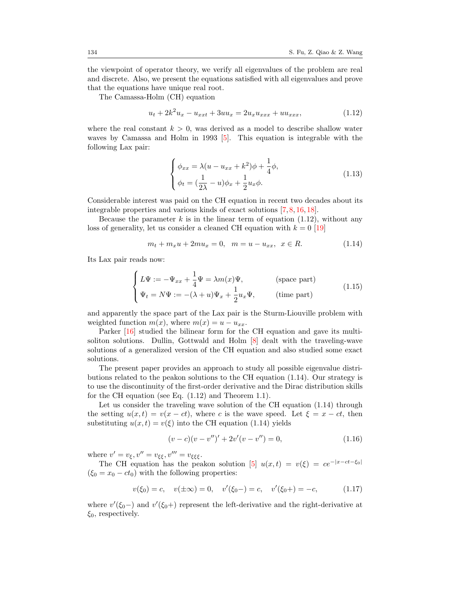the viewpoint of operator theory, we verify all eigenvalues of the problem are real and discrete. Also, we present the equations satisfied with all eigenvalues and prove that the equations have unique real root.

The Camassa-Holm (CH) equation

$$
u_t + 2k^2 u_x - u_{xxt} + 3uu_x = 2u_x u_{xxx} + uu_{xxx},
$$
\n(1.12)

where the real constant  $k > 0$ , was derived as a model to describe shallow water waves by Camassa and Holm in 1993 [\[5\]](#page-12-4). This equation is integrable with the following Lax pair:

<span id="page-3-2"></span><span id="page-3-1"></span><span id="page-3-0"></span>
$$
\begin{cases}\n\phi_{xx} = \lambda (u - u_{xx} + k^2)\phi + \frac{1}{4}\phi, \\
\phi_t = (\frac{1}{2\lambda} - u)\phi_x + \frac{1}{2}u_x\phi.\n\end{cases}
$$
\n(1.13)

Considerable interest was paid on the CH equation in recent two decades about its integrable properties and various kinds of exact solutions [\[7,](#page-12-5) [8,](#page-12-6) [16,](#page-13-5) [18\]](#page-13-6).

Because the parameter  $k$  is in the linear term of equation [\(1.12\)](#page-3-0), without any loss of generality, let us consider a cleaned CH equation with  $k = 0$  [\[19\]](#page-13-7)

$$
m_t + m_x u + 2mu_x = 0, \quad m = u - u_{xx}, \quad x \in R. \tag{1.14}
$$

Its Lax pair reads now:

$$
\begin{cases}\nL\Psi := -\Psi_{xx} + \frac{1}{4}\Psi = \lambda m(x)\Psi, & \text{(space part)}\\ \n\Psi_t = N\Psi := -(\lambda + u)\Psi_x + \frac{1}{2}u_x\Psi, & \text{(time part)}\n\end{cases}
$$
\n(1.15)

and apparently the space part of the Lax pair is the Sturm-Liouville problem with weighted function  $m(x)$ , where  $m(x) = u - u_{xx}$ .

Parker [\[16\]](#page-13-5) studied the bilinear form for the CH equation and gave its multisoliton solutions. Dullin, Gottwald and Holm [\[8\]](#page-12-6) dealt with the traveling-wave solutions of a generalized version of the CH equation and also studied some exact solutions.

The present paper provides an approach to study all possible eigenvalue distributions related to the peakon solutions to the CH equation [\(1.14\)](#page-3-1). Our strategy is to use the discontinuity of the first-order derivative and the Dirac distribution skills for the CH equation (see Eq. [\(1.12\)](#page-3-0) and Theorem [1.1\)](#page-4-0).

Let us consider the traveling wave solution of the CH equation  $(1.14)$  through the setting  $u(x,t) = v(x-ct)$ , where c is the wave speed. Let  $\xi = x-ct$ , then substituting  $u(x, t) = v(\xi)$  into the CH equation [\(1.14\)](#page-3-1) yields

$$
(v-c)(v-v'')' + 2v'(v-v'') = 0,
$$
\n(1.16)

where  $v' = v_{\xi}, v'' = v_{\xi\xi}, v''' = v_{\xi\xi\xi}$ .

The CH equation has the peakon solution [\[5\]](#page-12-4)  $u(x,t) = v(\xi) = ce^{-|x-ct-\xi_0|}$  $(\xi_0 = x_0 - ct_0)$  with the following properties:

$$
v(\xi_0) = c
$$
,  $v(\pm \infty) = 0$ ,  $v'(\xi_0 -) = c$ ,  $v'(\xi_0 +) = -c$ , (1.17)

where  $v'(\xi_0-)$  and  $v'(\xi_0+)$  represent the left-derivative and the right-derivative at  $\xi_0$ , respectively.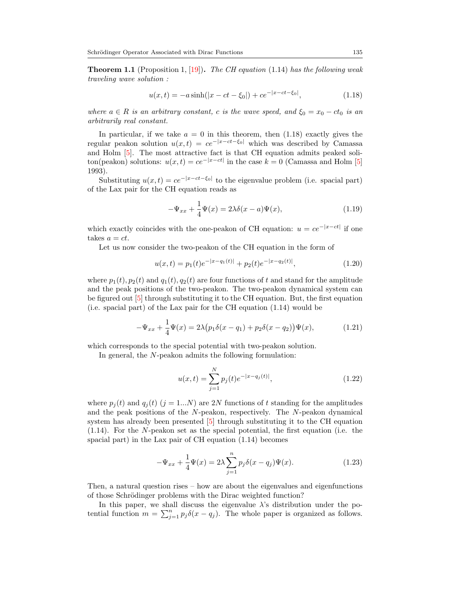<span id="page-4-0"></span>**Theorem 1.1** (Proposition 1,  $|19|$ ). The CH equation [\(1.14\)](#page-3-1) has the following weak traveling wave solution :

<span id="page-4-1"></span>
$$
u(x,t) = -a\sinh(|x - ct - \xi_0|) + ce^{-|x - ct - \xi_0|},
$$
\n(1.18)

where  $a \in R$  is an arbitrary constant, c is the wave speed, and  $\xi_0 = x_0 - ct_0$  is an arbitrarily real constant.

In particular, if we take  $a = 0$  in this theorem, then  $(1.18)$  exactly gives the regular peakon solution  $u(x, t) = ce^{-|x-ct-\xi_0|}$  which was described by Camassa and Holm [\[5\]](#page-12-4). The most attractive fact is that CH equation admits peaked soliton(peakon) solutions:  $u(x,t) = ce^{-|x-ct|}$  in the case  $k = 0$  (Camassa and Holm [\[5\]](#page-12-4) 1993).

Substituting  $u(x,t) = ce^{-|x-ct-\xi_0|}$  to the eigenvalue problem (i.e. spacial part) of the Lax pair for the CH equation reads as

$$
-\Psi_{xx} + \frac{1}{4}\Psi(x) = 2\lambda\delta(x-a)\Psi(x),\tag{1.19}
$$

which exactly coincides with the one-peakon of CH equation:  $u = ce^{-|x-ct|}$  if one takes  $a = ct$ .

Let us now consider the two-peakon of the CH equation in the form of

$$
u(x,t) = p_1(t)e^{-|x - q_1(t)|} + p_2(t)e^{-|x - q_2(t)|},
$$
\n(1.20)

where  $p_1(t)$ ,  $p_2(t)$  and  $q_1(t)$ ,  $q_2(t)$  are four functions of t and stand for the amplitude and the peak positions of the two-peakon. The two-peakon dynamical system can be figured out [\[5\]](#page-12-4) through substituting it to the CH equation. But, the first equation (i.e. spacial part) of the Lax pair for the CH equation [\(1.14\)](#page-3-1) would be

$$
-\Psi_{xx} + \frac{1}{4}\Psi(x) = 2\lambda \big(p_1 \delta(x - q_1) + p_2 \delta(x - q_2)\big)\Psi(x),\tag{1.21}
$$

which corresponds to the special potential with two-peakon solution.

In general, the N-peakon admits the following formulation:

<span id="page-4-2"></span>
$$
u(x,t) = \sum_{j=1}^{N} p_j(t)e^{-|x-q_j(t)|},
$$
\n(1.22)

where  $p_i(t)$  and  $q_i(t)$  (j = 1...N) are 2N functions of t standing for the amplitudes and the peak positions of the  $N$ -peakon, respectively. The  $N$ -peakon dynamical system has already been presented [\[5\]](#page-12-4) through substituting it to the CH equation [\(1.14\)](#page-3-1). For the N-peakon set as the special potential, the first equation (i.e. the spacial part) in the Lax pair of CH equation [\(1.14\)](#page-3-1) becomes

$$
-\Psi_{xx} + \frac{1}{4}\Psi(x) = 2\lambda \sum_{j=1}^{n} p_j \delta(x - q_j)\Psi(x).
$$
 (1.23)

Then, a natural question rises – how are about the eigenvalues and eigenfunctions of those Schrödinger problems with the Dirac weighted function?

In this paper, we shall discuss the eigenvalue  $\lambda$ 's distribution under the potential function  $m = \sum_{j=1}^{n} p_j \delta(x - q_j)$ . The whole paper is organized as follows.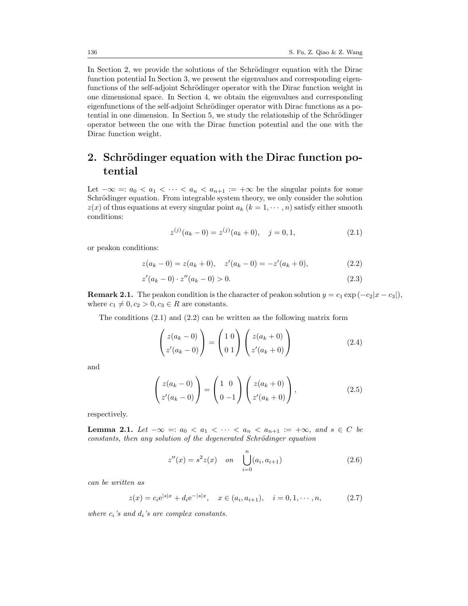In Section 2, we provide the solutions of the Schrödinger equation with the Dirac function potential In Section 3, we present the eigenvalues and corresponding eigenfunctions of the self-adjoint Schrödinger operator with the Dirac function weight in one dimensional space. In Section 4, we obtain the eigenvalues and corresponding eigenfunctions of the self-adjoint Schrödinger operator with Dirac functions as a potential in one dimension. In Section 5, we study the relationship of the Schrödinger operator between the one with the Dirac function potential and the one with the Dirac function weight.

### 2. Schrödinger equation with the Dirac function potential

Let  $-\infty =: a_0 < a_1 < \cdots < a_n < a_{n+1} := +\infty$  be the singular points for some Schrödinger equation. From integrable system theory, we only consider the solution  $z(x)$  of thus equations at every singular point  $a_k$   $(k = 1, \dots, n)$  satisfy either smooth conditions:

<span id="page-5-4"></span><span id="page-5-1"></span><span id="page-5-0"></span>
$$
z^{(j)}(a_k - 0) = z^{(j)}(a_k + 0), \quad j = 0, 1,
$$
\n(2.1)

or peakon conditions:

$$
z(a_k - 0) = z(a_k + 0), \quad z'(a_k - 0) = -z'(a_k + 0), \tag{2.2}
$$

$$
z'(a_k - 0) \cdot z''(a_k - 0) > 0. \tag{2.3}
$$

**Remark 2.1.** The peakon condition is the character of peakon solution  $y = c_1 \exp(-c_2|x - c_3|)$ , where  $c_1 \neq 0, c_2 > 0, c_3 \in R$  are constants.

The conditions [\(2.1\)](#page-5-0) and [\(2.2\)](#page-5-1) can be written as the following matrix form

$$
\begin{pmatrix} z(a_k - 0) \\ z'(a_k - 0) \end{pmatrix} = \begin{pmatrix} 1 & 0 \\ 0 & 1 \end{pmatrix} \begin{pmatrix} z(a_k + 0) \\ z'(a_k + 0) \end{pmatrix}
$$
(2.4)

and

$$
\begin{pmatrix} z(a_k - 0) \\ z'(a_k - 0) \end{pmatrix} = \begin{pmatrix} 1 & 0 \\ 0 & -1 \end{pmatrix} \begin{pmatrix} z(a_k + 0) \\ z'(a_k + 0) \end{pmatrix},
$$
\n(2.5)

respectively.

**Lemma 2.1.** Let  $-\infty =: a_0 < a_1 < \cdots < a_n < a_{n+1} := +\infty$ , and  $s \in C$  be constants, then any solution of the degenerated Schrödinger equation

<span id="page-5-3"></span><span id="page-5-2"></span>
$$
z''(x) = s^2 z(x) \quad on \quad \bigcup_{i=0}^{n} (a_i, a_{i+1})
$$
\n(2.6)

can be written as

$$
z(x) = c_i e^{|s|x|} + d_i e^{-|s|x|}, \quad x \in (a_i, a_{i+1}), \quad i = 0, 1, \cdots, n,
$$
 (2.7)

where  $c_i$ 's and  $d_i$ 's are complex constants.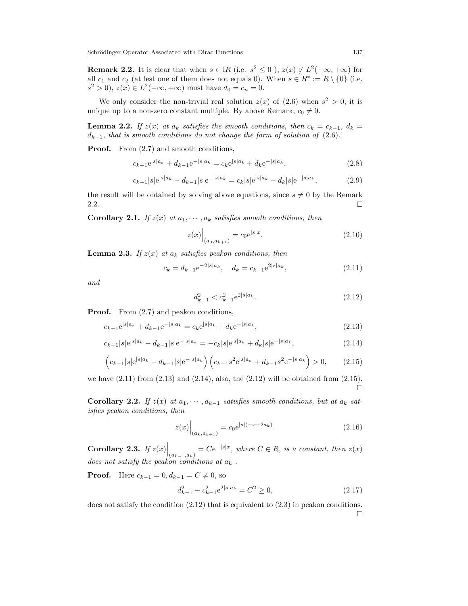<span id="page-6-0"></span>**Remark 2.2.** It is clear that when  $s \in iR$  (i.e.  $s^2 \leq 0$ ),  $z(x) \notin L^2(-\infty, +\infty)$  for all  $c_1$  and  $c_2$  (at lest one of them does not equals 0). When  $s \in R^* := R \setminus \{0\}$  (i.e.  $s^2 > 0$ ,  $z(x) \in L^2(-\infty, +\infty)$  must have  $d_0 = c_n = 0$ .

We only consider the non-trivial real solution  $z(x)$  of  $(2.6)$  when  $s^2 > 0$ , it is unique up to a non-zero constant multiple. By above Remark,  $c_0 \neq 0$ .

<span id="page-6-8"></span>**Lemma 2.2.** If  $z(x)$  at  $a_k$  satisfies the smooth conditions, then  $c_k = c_{k-1}$ ,  $d_k =$  $d_{k-1}$ , that is smooth conditions do not change the form of solution of [\(2.6\)](#page-5-2).

Proof. From [\(2.7\)](#page-5-3) and smooth conditions,

$$
c_{k-1}e^{|s|a_k} + d_{k-1}e^{-|s|a_k} = c_k e^{|s|a_k} + d_k e^{-|s|a_k},
$$
\n(2.8)

$$
c_{k-1}|s|e^{|s|a_k} - d_{k-1}|s|e^{-|s|a_k} = c_k|s|e^{|s|a_k} - d_k|s|e^{-|s|a_k}, \qquad (2.9)
$$

the result will be obtained by solving above equations, since  $s \neq 0$  by the Remark [2.2.](#page-6-0)  $\Box$ 

<span id="page-6-6"></span>**Corollary 2.1.** If  $z(x)$  at  $a_1, \dots, a_k$  satisfies smooth conditions, then

$$
z(x)\Big|_{(a_0, a_{k+1})} = c_0 e^{|s|x}.\tag{2.10}
$$

**Lemma 2.3.** If  $z(x)$  at  $a_k$  satisfies peakon conditions, then

$$
c_k = d_{k-1} e^{-2|s|a_k}, \quad d_k = c_{k-1} e^{2|s|a_k}, \tag{2.11}
$$

and

<span id="page-6-5"></span><span id="page-6-4"></span><span id="page-6-3"></span><span id="page-6-2"></span><span id="page-6-1"></span>
$$
d_{k-1}^2 < c_{k-1}^2 e^{2|s|a_k}.\tag{2.12}
$$

**Proof.** From  $(2.7)$  and peakon conditions,

$$
c_{k-1}e^{|s|a_k} + d_{k-1}e^{-|s|a_k} = c_k e^{|s|a_k} + d_k e^{-|s|a_k},
$$
\n(2.13)

$$
c_{k-1}|s|e^{|s|a_k} - d_{k-1}|s|e^{-|s|a_k} = -c_k|s|e^{|s|a_k} + d_k|s|e^{-|s|a_k},\tag{2.14}
$$

$$
\left(c_{k-1}|s|e^{|s|a_k} - d_{k-1}|s|e^{-|s|a_k}\right)\left(c_{k-1}s^2e^{|s|a_k} + d_{k-1}s^2e^{-|s|a_k}\right) > 0,\tag{2.15}
$$

we have [\(2.11\)](#page-6-1) from [\(2.13\)](#page-6-2) and [\(2.14\)](#page-6-3), also, the [\(2.12\)](#page-6-4) will be obtained from [\(2.15\)](#page-6-5).  $\Box$ 

<span id="page-6-7"></span>Corollary 2.2. If  $z(x)$  at  $a_1, \dots, a_{k-1}$  satisfies smooth conditions, but at  $a_k$  satisfies peakon conditions, then

$$
z(x)\Big|_{(a_k, a_{k+1})} = c_0 e^{|s|(-x+2a_k)}.
$$
\n(2.16)

<span id="page-6-9"></span>**Corollary 2.3.** If  $z(x) \Big|_{(a_{k-1},a_k)} = Ce^{-|s|x}$ , where  $C \in R$ , is a constant, then  $z(x)$ does not satisfy the peakon conditions at  $a_k$ .

**Proof.** Here  $c_{k-1} = 0, d_{k-1} = C \neq 0$ , so

$$
d_{k-1}^2 - c_{k-1}^2 e^{2|s|a_k} = C^2 \ge 0,
$$
\n(2.17)

does not satisfy the condition  $(2.12)$  that is equivalent to  $(2.3)$  in peakon conditions.  $\Box$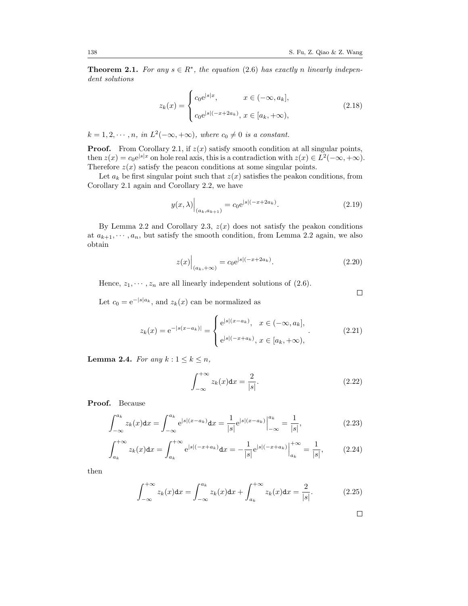<span id="page-7-0"></span>**Theorem 2.1.** For any  $s \in R^*$ , the equation [\(2.6\)](#page-5-2) has exactly n linearly independent solutions

$$
z_{k}(x) = \begin{cases} c_{0}e^{|s|x|}, & x \in (-\infty, a_{k}],\\ c_{0}e^{|s|(-x+2a_{k})}, & x \in [a_{k}, +\infty), \end{cases}
$$
(2.18)

 $k = 1, 2, \dots, n$ , in  $L^2(-\infty, +\infty)$ , where  $c_0 \neq 0$  is a constant.

**Proof.** From Corollary [2.1,](#page-6-6) if  $z(x)$  satisfy smooth condition at all singular points, then  $z(x) = c_0 e^{|s|x}$  on hole real axis, this is a contradiction with  $z(x) \in L^2(-\infty, +\infty)$ . Therefore  $z(x)$  satisfy the peacon conditions at some singular points.

Let  $a_k$  be first singular point such that  $z(x)$  satisfies the peakon conditions, from Corollary [2.1](#page-6-6) again and Corollary [2.2,](#page-6-7) we have

$$
y(x,\lambda)\Big|_{(a_k,a_{k+1})} = c_0 e^{|s|(-x+2a_k)}.
$$
\n(2.19)

By Lemma [2.2](#page-6-8) and Corollary [2.3,](#page-6-9)  $z(x)$  does not satisfy the peakon conditions at  $a_{k+1}, \dots, a_n$ , but satisfy the smooth condition, from Lemma [2.2](#page-6-8) again, we also obtain

$$
z(x)\Big|_{(a_k, +\infty)} = c_0 e^{|s|(-x+2a_k)}.
$$
\n(2.20)

Hence,  $z_1, \dots, z_n$  are all linearly independent solutions of [\(2.6\)](#page-5-2).

Let  $c_0 = e^{-|s|a_k}$ , and  $z_k(x)$  can be normalized as

$$
z_k(x) = e^{-|s(x-a_k)|} = \begin{cases} e^{|s|(x-a_k)}, & x \in (-\infty, a_k], \\ e^{|s|(x+a_k)}, & x \in [a_k, +\infty), \end{cases}
$$
 (2.21)

<span id="page-7-1"></span>Lemma 2.4. For any  $k: 1 \leq k \leq n$ ,

$$
\int_{-\infty}^{+\infty} z_k(x) \mathrm{d}x = \frac{2}{|s|}.\tag{2.22}
$$

Proof. Because

$$
\int_{-\infty}^{a_k} z_k(x) dx = \int_{-\infty}^{a_k} e^{|s|(x-a_k)} dx = \frac{1}{|s|} e^{|s|(x-a_k)} \Big|_{-\infty}^{a_k} = \frac{1}{|s|},
$$
\n(2.23)

$$
\int_{a_k}^{+\infty} z_k(x) dx = \int_{a_k}^{+\infty} e^{|s|(-x+a_k)} dx = -\frac{1}{|s|} e^{|s|(-x+a_k)} \Big|_{a_k}^{+\infty} = \frac{1}{|s|}, \quad (2.24)
$$

then

$$
\int_{-\infty}^{+\infty} z_k(x) dx = \int_{-\infty}^{a_k} z_k(x) dx + \int_{a_k}^{+\infty} z_k(x) dx = \frac{2}{|s|}.
$$
 (2.25)

 $\Box$ 

 $\Box$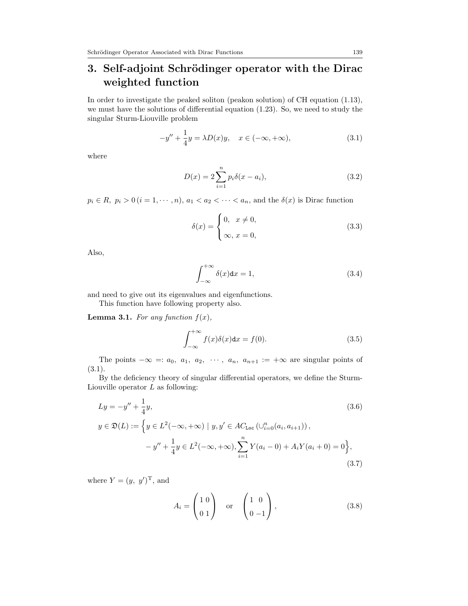# 3. Self-adjoint Schrödinger operator with the Dirac weighted function

In order to investigate the peaked soliton (peakon solution) of CH equation [\(1.13\)](#page-3-2), we must have the solutions of differential equation [\(1.23\)](#page-4-2). So, we need to study the singular Sturm-Liouville problem

$$
-y'' + \frac{1}{4}y = \lambda D(x)y, \quad x \in (-\infty, +\infty), \tag{3.1}
$$

where

<span id="page-8-0"></span>
$$
D(x) = 2\sum_{i=1}^{n} p_i \delta(x - a_i),
$$
\n(3.2)

 $p_i \in R$ ,  $p_i > 0$   $(i = 1, \dots, n)$ ,  $a_1 < a_2 < \dots < a_n$ , and the  $\delta(x)$  is Dirac function

$$
\delta(x) = \begin{cases} 0, & x \neq 0, \\ \infty, & x = 0, \end{cases}
$$
\n(3.3)

Also,

$$
\int_{-\infty}^{+\infty} \delta(x) dx = 1,
$$
\n(3.4)

and need to give out its eigenvalues and eigenfunctions.

This function have following property also.

**Lemma 3.1.** For any function  $f(x)$ ,

$$
\int_{-\infty}^{+\infty} f(x)\delta(x)dx = f(0).
$$
 (3.5)

The points  $-\infty =: a_0, a_1, a_2, \cdots, a_n, a_{n+1} := +\infty$  are singular points of [\(3.1\)](#page-8-0).

By the deficiency theory of singular differential operators, we define the Sturm-Liouville operator  $L$  as following:

$$
Ly = -y'' + \frac{1}{4}y,
$$
\n
$$
y \in \mathfrak{D}(L) := \left\{ y \in L^{2}(-\infty, +\infty) \mid y, y' \in AC_{\text{Loc}}\left(\cup_{i=0}^{n}(a_{i}, a_{i+1})\right), -y'' + \frac{1}{4}y \in L^{2}(-\infty, +\infty), \sum_{i=1}^{n} Y(a_{i} - 0) + A_{i}Y(a_{i} + 0) = 0 \right\},
$$
\n(3.7)

where  $Y = (y, y')^{\mathrm{T}}$ , and

<span id="page-8-1"></span>
$$
A_i = \begin{pmatrix} 1 & 0 \\ 0 & 1 \end{pmatrix} \quad \text{or} \quad \begin{pmatrix} 1 & 0 \\ 0 & -1 \end{pmatrix}, \tag{3.8}
$$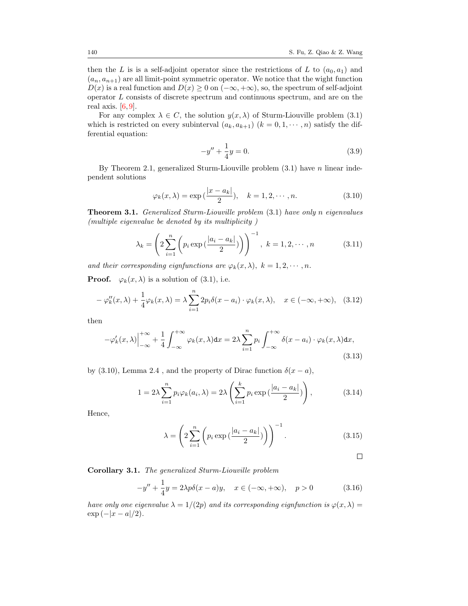then the L is is a self-adjoint operator since the restrictions of L to  $(a_0, a_1)$  and  $(a_n, a_{n+1})$  are all limit-point symmetric operator. We notice that the wight function  $D(x)$  is a real function and  $D(x) \geq 0$  on  $(-\infty, +\infty)$ , so, the spectrum of self-adjoint operator L consists of discrete spectrum and continuous spectrum, and are on the real axis.  $[6, 9]$  $[6, 9]$  $[6, 9]$ .

For any complex  $\lambda \in C$ , the solution  $y(x, \lambda)$  of Sturm-Liouville problem [\(3.1\)](#page-8-0) which is restricted on every subinterval  $(a_k, a_{k+1})$   $(k = 0, 1, \dots, n)$  satisfy the differential equation:

<span id="page-9-0"></span>
$$
-y'' + \frac{1}{4}y = 0.
$$
 (3.9)

By Theorem [2.1,](#page-7-0) generalized Sturm-Liouville problem  $(3.1)$  have n linear independent solutions

$$
\varphi_k(x,\lambda) = \exp\left(\frac{|x-a_k|}{2}\right), \quad k = 1, 2, \cdots, n. \tag{3.10}
$$

Theorem 3.1. Generalized Sturm-Liouville problem [\(3.1\)](#page-8-0) have only n eigenvalues (multiple eigenvalue be denoted by its multiplicity )

$$
\lambda_k = \left(2\sum_{i=1}^n \left(p_i \exp\left(\frac{|a_i - a_k|}{2}\right)\right)\right)^{-1}, \ k = 1, 2, \cdots, n \tag{3.11}
$$

and their corresponding eignfunctions are  $\varphi_k(x, \lambda)$ ,  $k = 1, 2, \cdots, n$ .

**Proof.**  $\varphi_k(x, \lambda)$  is a solution of [\(3.1\)](#page-8-0), i.e.

$$
-\varphi_k''(x,\lambda) + \frac{1}{4}\varphi_k(x,\lambda) = \lambda \sum_{i=1}^n 2p_i \delta(x - a_i) \cdot \varphi_k(x,\lambda), \quad x \in (-\infty, +\infty), \quad (3.12)
$$

then

$$
-\varphi'_k(x,\lambda)\Big|_{-\infty}^{+\infty} + \frac{1}{4} \int_{-\infty}^{+\infty} \varphi_k(x,\lambda) dx = 2\lambda \sum_{i=1}^n p_i \int_{-\infty}^{+\infty} \delta(x-a_i) \cdot \varphi_k(x,\lambda) dx,
$$
\n(3.13)

by [\(3.10\)](#page-9-0), Lemma [2.4](#page-7-1), and the property of Dirac function  $\delta(x-a)$ ,

$$
1 = 2\lambda \sum_{i=1}^{n} p_i \varphi_k(a_i, \lambda) = 2\lambda \left( \sum_{i=1}^{k} p_i \exp\left(\frac{|a_i - a_k|}{2}\right) \right), \tag{3.14}
$$

Hence,

$$
\lambda = \left(2\sum_{i=1}^{n} \left(p_i \exp\left(\frac{|a_i - a_k|}{2}\right)\right)\right)^{-1}.\tag{3.15}
$$

 $\Box$ 

Corollary 3.1. The generalized Sturm-Liouville problem

$$
-y'' + \frac{1}{4}y = 2\lambda p\delta(x - a)y, \quad x \in (-\infty, +\infty), \quad p > 0
$$
 (3.16)

have only one eigenvalue  $\lambda = 1/(2p)$  and its corresponding eignfunction is  $\varphi(x, \lambda) =$  $\exp(-|x-a|/2)$ .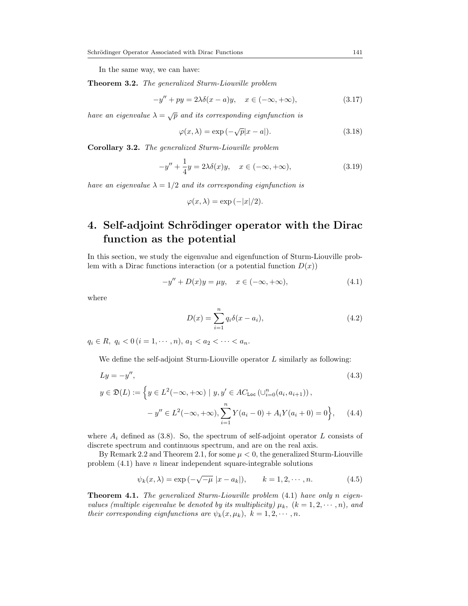In the same way, we can have:

<span id="page-10-2"></span>Theorem 3.2. The generalized Sturm-Liouville problem

$$
-y'' + py = 2\lambda \delta(x - a)y, \quad x \in (-\infty, +\infty), \tag{3.17}
$$

have an eigenvalue  $\lambda = \sqrt{p}$  and its corresponding eignfunction is

<span id="page-10-3"></span>
$$
\varphi(x,\lambda) = \exp\left(-\sqrt{p}|x-a|\right). \tag{3.18}
$$

Corollary 3.2. The generalized Sturm-Liouville problem

$$
-y'' + \frac{1}{4}y = 2\lambda\delta(x)y, \quad x \in (-\infty, +\infty),
$$
\n(3.19)

have an eigenvalue  $\lambda = 1/2$  and its corresponding eignfunction is

$$
\varphi(x,\lambda) = \exp(-|x|/2).
$$

### 4. Self-adjoint Schrödinger operator with the Dirac function as the potential

In this section, we study the eigenvalue and eigenfunction of Sturm-Liouville problem with a Dirac functions interaction (or a potential function  $D(x)$ )

$$
-y'' + D(x)y = \mu y, \quad x \in (-\infty, +\infty), \tag{4.1}
$$

where

<span id="page-10-0"></span>
$$
D(x) = \sum_{i=1}^{n} q_i \delta(x - a_i),
$$
\n(4.2)

 $q_i \in R$ ,  $q_i < 0$   $(i = 1, \dots, n)$ ,  $a_1 < a_2 < \dots < a_n$ .

We define the self-adjoint Sturm-Liouville operator  $L$  similarly as following:

$$
Ly = -y'',
$$
\n
$$
y \in \mathfrak{D}(L) := \left\{ y \in L^{2}(-\infty, +\infty) \mid y, y' \in AC_{\text{Loc}}\left(\cup_{i=0}^{n}(a_{i}, a_{i+1})\right), -y'' \in L^{2}(-\infty, +\infty), \sum_{i=1}^{n} Y(a_{i} - 0) + A_{i}Y(a_{i} + 0) = 0 \right\}, \quad (4.4)
$$

where  $A_i$  defined as [\(3.8\)](#page-8-1). So, the spectrum of self-adjoint operator L consists of discrete spectrum and continuous spectrum, and are on the real axis.

By Remark [2.2](#page-6-0) and Theorem [2.1,](#page-7-0) for some  $\mu < 0$ , the generalized Sturm-Liouville problem  $(4.1)$  have *n* linear independent square-integrable solutions

<span id="page-10-1"></span>
$$
\psi_k(x, \lambda) = \exp(-\sqrt{-\mu} |x - a_k|), \qquad k = 1, 2, \cdots, n.
$$
\n(4.5)

Theorem 4.1. The generalized Sturm-Liouville problem [\(4.1\)](#page-10-0) have only n eigenvalues (multiple eigenvalue be denoted by its multiplicity)  $\mu_k$ ,  $(k = 1, 2, \dots, n)$ , and their corresponding eignfunctions are  $\psi_k(x,\mu_k)$ ,  $k = 1, 2, \cdots, n$ .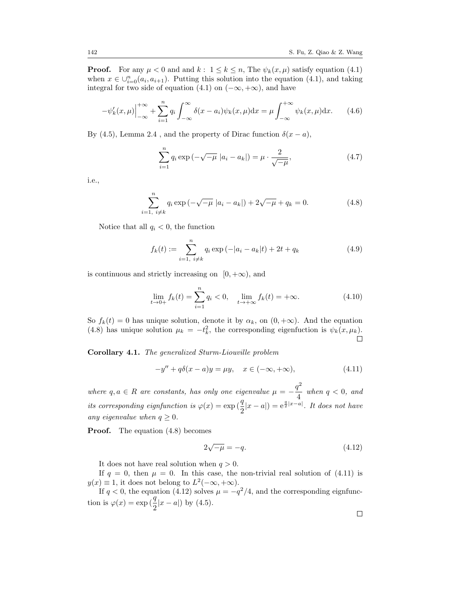**Proof.** For any  $\mu < 0$  and and  $k : 1 \leq k \leq n$ , The  $\psi_k(x, \mu)$  satisfy equation [\(4.1\)](#page-10-0) when  $x \in \bigcup_{i=0}^n (a_i, a_{i+1})$ . Putting this solution into the equation [\(4.1\)](#page-10-0), and taking integral for two side of equation [\(4.1\)](#page-10-0) on  $(-\infty, +\infty)$ , and have

$$
-\psi_k'(x,\mu)\Big|_{-\infty}^{+\infty} + \sum_{i=1}^n q_i \int_{-\infty}^{\infty} \delta(x-a_i)\psi_k(x,\mu)dx = \mu \int_{-\infty}^{+\infty} \psi_k(x,\mu)dx. \tag{4.6}
$$

By [\(4.5\)](#page-10-1), Lemma [2.4](#page-7-1), and the property of Dirac function  $\delta(x - a)$ ,

<span id="page-11-0"></span>
$$
\sum_{i=1}^{n} q_i \exp(-\sqrt{-\mu} |a_i - a_k|) = \mu \cdot \frac{2}{\sqrt{-\mu}},
$$
\n(4.7)

i.e.,

$$
\sum_{i=1, i \neq k}^{n} q_i \exp(-\sqrt{-\mu} |a_i - a_k|) + 2\sqrt{-\mu} + q_k = 0.
$$
 (4.8)

Notice that all  $q_i < 0$ , the function

$$
f_k(t) := \sum_{i=1, i \neq k}^{n} q_i \exp(-|a_i - a_k|t) + 2t + q_k
$$
 (4.9)

is continuous and strictly increasing on  $[0, +\infty)$ , and

$$
\lim_{t \to 0+} f_k(t) = \sum_{i=1}^n q_i < 0, \quad \lim_{t \to +\infty} f_k(t) = +\infty. \tag{4.10}
$$

So  $f_k(t) = 0$  has unique solution, denote it by  $\alpha_k$ , on  $(0, +\infty)$ . And the equation [\(4.8\)](#page-11-0) has unique solution  $\mu_k = -t_k^2$ , the corresponding eigenfuction is  $\psi_k(x, \mu_k)$ .  $\Box$ 

<span id="page-11-3"></span>Corollary 4.1. The generalized Sturm-Liouville problem

$$
-y'' + q\delta(x - a)y = \mu y, \quad x \in (-\infty, +\infty), \tag{4.11}
$$

where  $q, a \in R$  are constants, has only one eigenvalue  $\mu = -\frac{q^2}{4}$  $\frac{4}{4}$  when  $q < 0$ , and its corresponding eignfunction is  $\varphi(x) = \exp\left(\frac{q}{2}|x-a|\right) = e^{\frac{q}{2}|x-a|}$ . It does not have any eigenvalue when  $q \geq 0$ .

**Proof.** The equation  $(4.8)$  becomes

<span id="page-11-2"></span><span id="page-11-1"></span>
$$
2\sqrt{-\mu} = -q.\tag{4.12}
$$

It does not have real solution when  $q > 0$ .

If  $q = 0$ , then  $\mu = 0$ . In this case, the non-trivial real solution of [\(4.11\)](#page-11-1) is  $y(x) \equiv 1$ , it does not belong to  $L^2(-\infty, +\infty)$ .

If  $q < 0$ , the equation [\(4.12\)](#page-11-2) solves  $\mu = -q^2/4$ , and the corresponding eignfunction is  $\varphi(x) = \exp(\frac{q}{2}|x-a|)$  by [\(4.5\)](#page-10-1).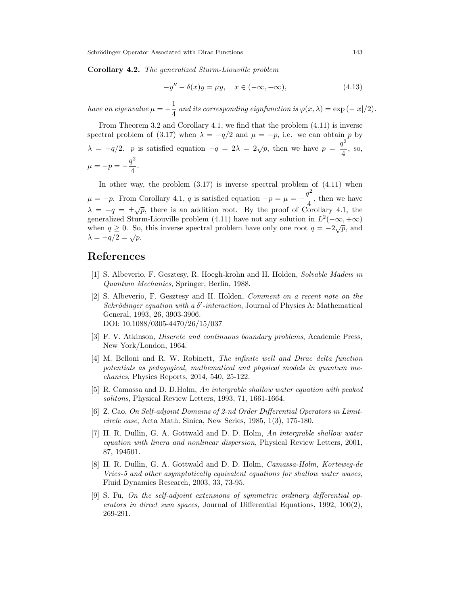Corollary 4.2. The generalized Sturm-Liouville problem

$$
-y'' - \delta(x)y = \mu y, \quad x \in (-\infty, +\infty), \tag{4.13}
$$

have an eigenvalue  $\mu = -\frac{1}{4}$  $\frac{1}{4}$  and its corresponding eignfunction is  $\varphi(x,\lambda) = \exp(-|x|/2)$ .

From Theorem [3.2](#page-10-2) and Corollary [4.1,](#page-11-3) we find that the problem [\(4.11\)](#page-11-1) is inverse spectral problem of [\(3.17\)](#page-10-3) when  $\lambda = -q/2$  and  $\mu = -p$ , i.e. we can obtain p by  $\lambda = -q/2$ . p is satisfied equation  $-q = 2\lambda = 2\sqrt{p}$ , then we have  $p = \frac{q^2}{4}$  $\frac{4}{4}$ , so,  $\mu = -p = -\frac{q^2}{4}$  $\frac{1}{4}$ .

In other way, the problem  $(3.17)$  is inverse spectral problem of  $(4.11)$  when  $\mu = -p$ . From Corollary [4.1,](#page-11-3) q is satisfied equation  $-p = \mu = -\frac{q^2}{4}$  $\frac{4}{4}$ , then we have  $\lambda = -q = \pm \sqrt{p}$ , there is an addition root. By the proof of Corollary [4.1,](#page-11-3) the generalized Sturm-Liouville problem [\(4.11\)](#page-11-1) have not any solution in  $L^2(-\infty, +\infty)$ when  $q \ge 0$ . So, this inverse spectral problem have only one root  $q = -2\sqrt{p}$ , and  $\lambda = -q/2 = \sqrt{p}.$ 

#### <span id="page-12-0"></span>References

- <span id="page-12-1"></span>[1] S. Albeverio, F. Gesztesy, R. Hoegh-krohn and H. Holden, Solvable Madeis in Quantum Mechanics, Springer, Berlin, 1988.
- <span id="page-12-2"></span>[2] S. Albeverio, F. Gesztesy and H. Holden, Comment on a recent note on the Schrödinger equation with a  $\delta'$ -interaction, Journal of Physics A: Mathematical General, 1993, 26, 3903-3906. DOI: 10.1088/0305-4470/26/15/037
- [3] F. V. Atkinson, Discrete and continuous boundary problems, Academic Press, New York/London, 1964.
- <span id="page-12-3"></span>[4] M. Belloni and R. W. Robinett, The infinite well and Dirac delta function potentials as pedagogical, mathematical and physical models in quantum mechanics, Physics Reports, 2014, 540, 25-122.
- <span id="page-12-4"></span>[5] R. Camassa and D. D.Holm, An intergrable shallow water equation with peaked solitons, Physical Review Letters, 1993, 71, 1661-1664.
- <span id="page-12-7"></span>[6] Z. Cao, On Self-adjoint Domains of 2-nd Order Differential Operators in Limitcircle case, Acta Math. Sinica, New Series, 1985, 1(3), 175-180.
- <span id="page-12-5"></span>[7] H. R. Dullin, G. A. Gottwald and D. D. Holm, An intergrable shallow water equation with linera and nonlinear dispersion, Physical Review Letters, 2001, 87, 194501.
- <span id="page-12-6"></span>[8] H. R. Dullin, G. A. Gottwald and D. D. Holm, Camassa-Holm, Korteweg-de Vries-5 and other asymptotically equivalent equations for shallow water waves, Fluid Dynamics Research, 2003, 33, 73-95.
- <span id="page-12-8"></span>[9] S. Fu, On the self-adjoint extensions of symmetric ordinary differential operators in direct sum spaces, Journal of Differential Equations, 1992, 100(2), 269-291.